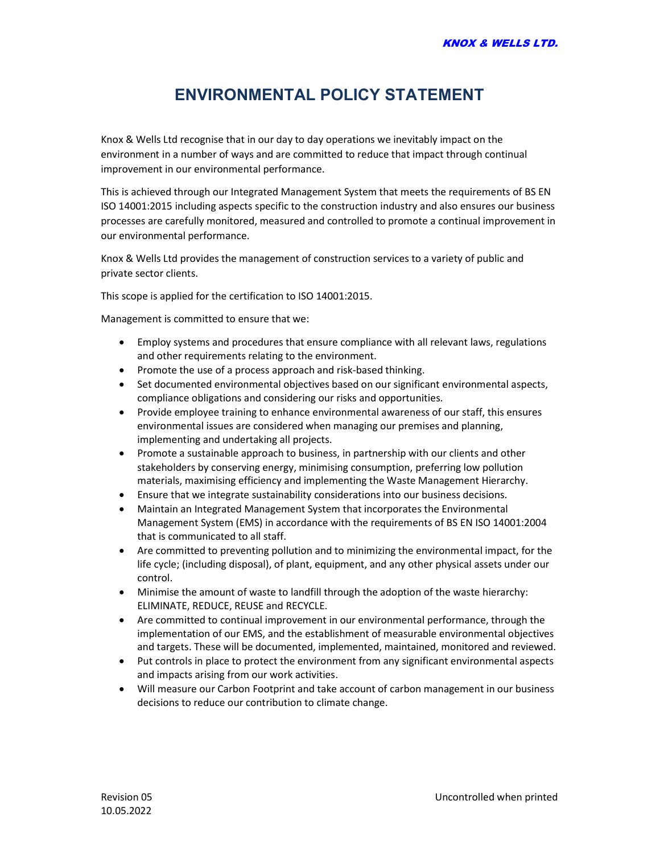## ENVIRONMENTAL POLICY STATEMENT

Knox & Wells Ltd recognise that in our day to day operations we inevitably impact on the environment in a number of ways and are committed to reduce that impact through continual improvement in our environmental performance.

This is achieved through our Integrated Management System that meets the requirements of BS EN ISO 14001:2015 including aspects specific to the construction industry and also ensures our business processes are carefully monitored, measured and controlled to promote a continual improvement in our environmental performance.

Knox & Wells Ltd provides the management of construction services to a variety of public and private sector clients.

This scope is applied for the certification to ISO 14001:2015.

Management is committed to ensure that we:

- Employ systems and procedures that ensure compliance with all relevant laws, regulations and other requirements relating to the environment.
- Promote the use of a process approach and risk-based thinking.
- Set documented environmental objectives based on our significant environmental aspects, compliance obligations and considering our risks and opportunities.
- Provide employee training to enhance environmental awareness of our staff, this ensures environmental issues are considered when managing our premises and planning, implementing and undertaking all projects.
- Promote a sustainable approach to business, in partnership with our clients and other stakeholders by conserving energy, minimising consumption, preferring low pollution materials, maximising efficiency and implementing the Waste Management Hierarchy.
- Ensure that we integrate sustainability considerations into our business decisions.
- Maintain an Integrated Management System that incorporates the Environmental Management System (EMS) in accordance with the requirements of BS EN ISO 14001:2004 that is communicated to all staff.
- Are committed to preventing pollution and to minimizing the environmental impact, for the life cycle; (including disposal), of plant, equipment, and any other physical assets under our control.
- Minimise the amount of waste to landfill through the adoption of the waste hierarchy: ELIMINATE, REDUCE, REUSE and RECYCLE.
- Are committed to continual improvement in our environmental performance, through the implementation of our EMS, and the establishment of measurable environmental objectives and targets. These will be documented, implemented, maintained, monitored and reviewed.
- Put controls in place to protect the environment from any significant environmental aspects and impacts arising from our work activities.
- Will measure our Carbon Footprint and take account of carbon management in our business decisions to reduce our contribution to climate change.